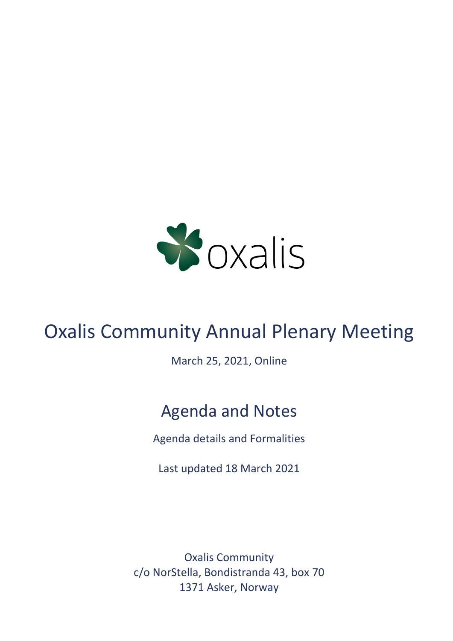

# Oxalis Community Annual Plenary Meeting

March 25, 2021, Online

# Agenda and Notes

Agenda details and Formalities

Last updated 18 March 2021

Oxalis Community c/o NorStella, Bondistranda 43, box 70 1371 Asker, Norway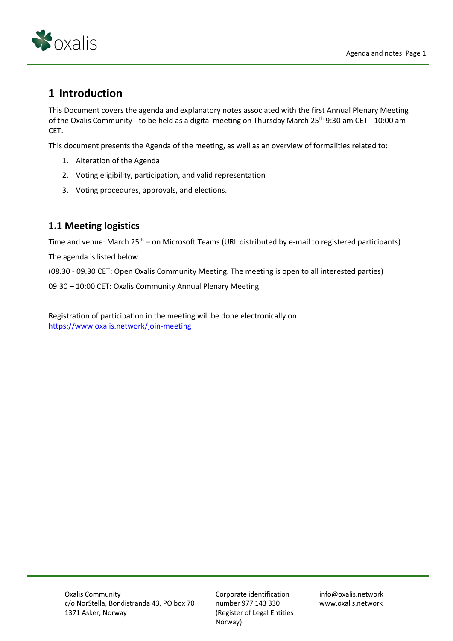

# **1 Introduction**

This Document covers the agenda and explanatory notes associated with the first Annual Plenary Meeting of the Oxalis Community - to be held as a digital meeting on Thursday March 25<sup>th</sup> 9:30 am CET - 10:00 am CET.

This document presents the Agenda of the meeting, as well as an overview of formalities related to:

- 1. Alteration of the Agenda
- 2. Voting eligibility, participation, and valid representation
- 3. Voting procedures, approvals, and elections.

## **1.1 Meeting logistics**

Time and venue: March  $25<sup>th</sup>$  – on Microsoft Teams (URL distributed by e-mail to registered participants) The agenda is listed below.

(08.30 - 09.30 CET: Open Oxalis Community Meeting. The meeting is open to all interested parties)

09:30 – 10:00 CET: Oxalis Community Annual Plenary Meeting

Registration of participation in the meeting will be done electronically on <https://www.oxalis.network/join-meeting>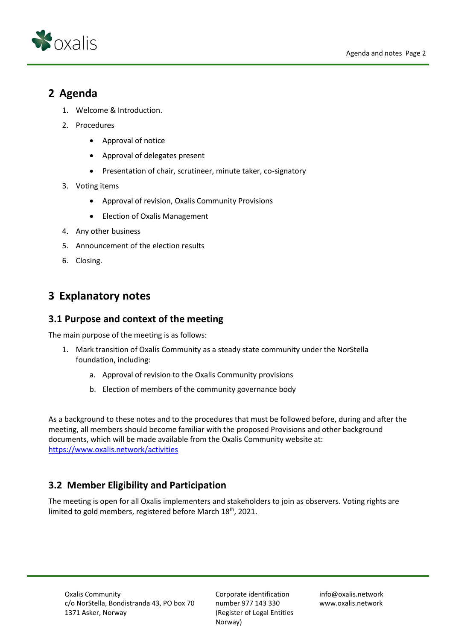

# **2 Agenda**

- 1. Welcome & Introduction.
- 2. Procedures
	- Approval of notice
	- Approval of delegates present
	- Presentation of chair, scrutineer, minute taker, co-signatory
- 3. Voting items
	- Approval of revision, Oxalis Community Provisions
	- Election of Oxalis Management
- 4. Any other business
- 5. Announcement of the election results
- 6. Closing.

# **3 Explanatory notes**

## **3.1 Purpose and context of the meeting**

The main purpose of the meeting is as follows:

- 1. Mark transition of Oxalis Community as a steady state community under the NorStella foundation, including:
	- a. Approval of revision to the Oxalis Community provisions
	- b. Election of members of the community governance body

As a background to these notes and to the procedures that must be followed before, during and after the meeting, all members should become familiar with the proposed Provisions and other background documents, which will be made available from the Oxalis Community website at: <https://www.oxalis.network/activities>

## **3.2 Member Eligibility and Participation**

The meeting is open for all Oxalis implementers and stakeholders to join as observers. Voting rights are limited to gold members, registered before March 18<sup>th</sup>, 2021.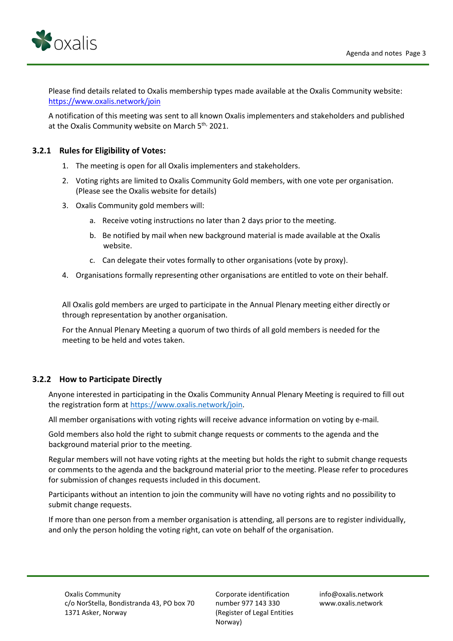

Please find details related to Oxalis membership types made available at the Oxalis Community website: <https://www.oxalis.network/join>

A notification of this meeting was sent to all known Oxalis implementers and stakeholders and published at the Oxalis Community website on March 5<sup>th,</sup> 2021.

#### **3.2.1 Rules for Eligibility of Votes:**

- 1. The meeting is open for all Oxalis implementers and stakeholders.
- 2. Voting rights are limited to Oxalis Community Gold members, with one vote per organisation. (Please see the Oxalis website for details)
- 3. Oxalis Community gold members will:
	- a. Receive voting instructions no later than 2 days prior to the meeting.
	- b. Be notified by mail when new background material is made available at the Oxalis website.
	- c. Can delegate their votes formally to other organisations (vote by proxy).
- 4. Organisations formally representing other organisations are entitled to vote on their behalf.

All Oxalis gold members are urged to participate in the Annual Plenary meeting either directly or through representation by another organisation.

For the Annual Plenary Meeting a quorum of two thirds of all gold members is needed for the meeting to be held and votes taken.

#### **3.2.2 How to Participate Directly**

Anyone interested in participating in the Oxalis Community Annual Plenary Meeting is required to fill out the registration form at [https://www.oxalis.network/join.](https://eur02.safelinks.protection.outlook.com/?url=https%3A%2F%2Fwww.oxalis.network%2Fjoin&data=04%7C01%7C%7C53f581623f3e443687ca08d8742ccf5a%7C1a91f966247e497bbee609072f7ea02a%7C0%7C0%7C637387083683713494%7CUnknown%7CTWFpbGZsb3d8eyJWIjoiMC4wLjAwMDAiLCJQIjoiV2luMzIiLCJBTiI6Ik1haWwiLCJXVCI6Mn0%3D%7C3000&sdata=1%2F3%2FpQw8W9oMWdbmQCXupX8EUiMVR0CehNrqn%2FSS1Xg%3D&reserved=0)

All member organisations with voting rights will receive advance information on voting by e-mail.

Gold members also hold the right to submit change requests or comments to the agenda and the background material prior to the meeting.

Regular members will not have voting rights at the meeting but holds the right to submit change requests or comments to the agenda and the background material prior to the meeting. Please refer to procedures for submission of changes requests included in this document.

Participants without an intention to join the community will have no voting rights and no possibility to submit change requests.

If more than one person from a member organisation is attending, all persons are to register individually, and only the person holding the voting right, can vote on behalf of the organisation.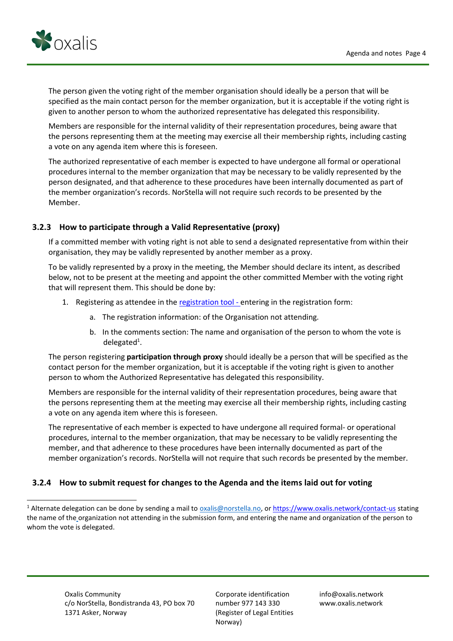

The person given the voting right of the member organisation should ideally be a person that will be specified as the main contact person for the member organization, but it is acceptable if the voting right is given to another person to whom the authorized representative has delegated this responsibility.

Members are responsible for the internal validity of their representation procedures, being aware that the persons representing them at the meeting may exercise all their membership rights, including casting a vote on any agenda item where this is foreseen.

The authorized representative of each member is expected to have undergone all formal or operational procedures internal to the member organization that may be necessary to be validly represented by the person designated, and that adherence to these procedures have been internally documented as part of the member organization's records. NorStella will not require such records to be presented by the Member.

#### **3.2.3 How to participate through a Valid Representative (proxy)**

If a committed member with voting right is not able to send a designated representative from within their organisation, they may be validly represented by another member as a proxy.

To be validly represented by a proxy in the meeting, the Member should declare its intent, as described below, not to be present at the meeting and appoint the other committed Member with the voting right that will represent them. This should be done by:

- 1. Registering as attendee in th[e registration tool](https://www.oxalis.network/join) entering in the registration form:
	- a. The registration information: of the Organisation not attending.
	- b. In the comments section: The name and organisation of the person to whom the vote is delegated<sup>1</sup>.

The person registering **participation through proxy** should ideally be a person that will be specified as the contact person for the member organization, but it is acceptable if the voting right is given to another person to whom the Authorized Representative has delegated this responsibility.

Members are responsible for the internal validity of their representation procedures, being aware that the persons representing them at the meeting may exercise all their membership rights, including casting a vote on any agenda item where this is foreseen.

The representative of each member is expected to have undergone all required formal- or operational procedures, internal to the member organization, that may be necessary to be validly representing the member, and that adherence to these procedures have been internally documented as part of the member organization's records. NorStella will not require that such records be presented by the member.

#### **3.2.4 How to submit request for changes to the Agenda and the items laid out for voting**

info@oxalis.network www.oxalis.network

<sup>&</sup>lt;sup>1</sup> Alternate delegation can be done by sending a mail to *oxalis@norstella.no*, or<https://www.oxalis.network/contact-us> stating the name of the organization not attending in the submission form, and entering the name and organization of the person to whom the vote is delegated.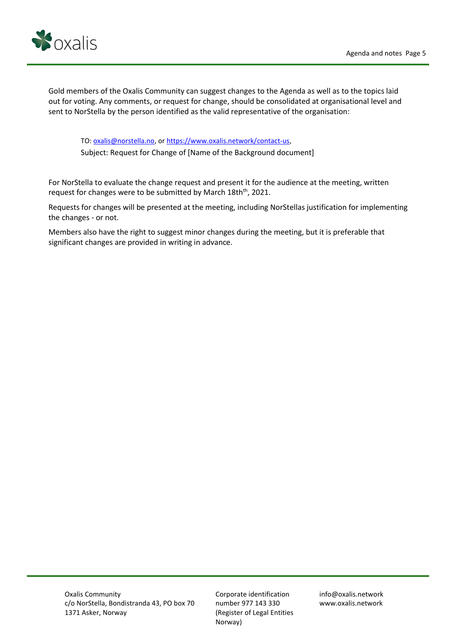

Gold members of the Oxalis Community can suggest changes to the Agenda as well as to the topics laid out for voting. Any comments, or request for change, should be consolidated at organisational level and sent to NorStella by the person identified as the valid representative of the organisation:

TO: [oxalis@norstella.no,](mailto:oxalis@norstella.no) or [https://www.oxalis.network/contact-us,](https://www.oxalis.network/contact-us) Subject: Request for Change of [Name of the Background document]

For NorStella to evaluate the change request and present it for the audience at the meeting, written request for changes were to be submitted by March 18th<sup>th</sup>, 2021.

Requests for changes will be presented at the meeting, including NorStellas justification for implementing the changes - or not.

Members also have the right to suggest minor changes during the meeting, but it is preferable that significant changes are provided in writing in advance.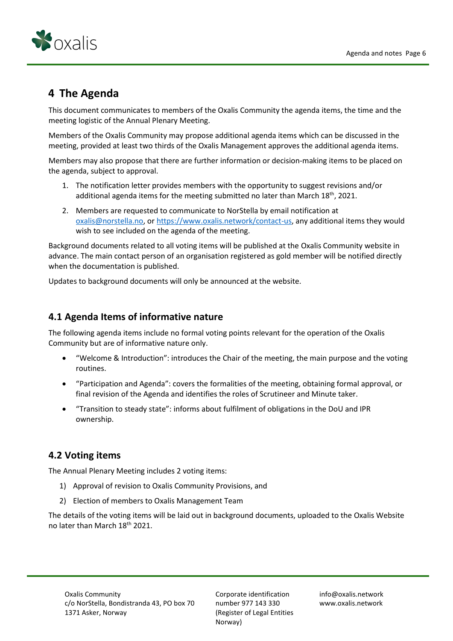

# **4 The Agenda**

This document communicates to members of the Oxalis Community the agenda items, the time and the meeting logistic of the Annual Plenary Meeting.

Members of the Oxalis Community may propose additional agenda items which can be discussed in the meeting, provided at least two thirds of the Oxalis Management approves the additional agenda items.

Members may also propose that there are further information or decision-making items to be placed on the agenda, subject to approval.

- 1. The notification letter provides members with the opportunity to suggest revisions and/or additional agenda items for the meeting submitted no later than March  $18<sup>th</sup>$ , 2021.
- 2. Members are requested to communicate to NorStella by email notification at [oxalis@norstella.no,](mailto:oxalis@norstella.no) o[r https://www.oxalis.network/contact-us,](https://eur02.safelinks.protection.outlook.com/?url=https%3A%2F%2Fwww.oxalis.network%2Fcontact-us&data=04%7C01%7C%7C53f581623f3e443687ca08d8742ccf5a%7C1a91f966247e497bbee609072f7ea02a%7C0%7C0%7C637387083683723488%7CUnknown%7CTWFpbGZsb3d8eyJWIjoiMC4wLjAwMDAiLCJQIjoiV2luMzIiLCJBTiI6Ik1haWwiLCJXVCI6Mn0%3D%7C3000&sdata=WCczef7QDMg%2ByfG%2Fhf6e2gKqyTcxWMUyyz8kLBljGYk%3D&reserved=0) any additional items they would wish to see included on the agenda of the meeting.

Background documents related to all voting items will be published at the Oxalis Community website in advance. The main contact person of an organisation registered as gold member will be notified directly when the documentation is published.

Updates to background documents will only be announced at the website.

## **4.1 Agenda Items of informative nature**

The following agenda items include no formal voting points relevant for the operation of the Oxalis Community but are of informative nature only.

- "Welcome & Introduction": introduces the Chair of the meeting, the main purpose and the voting routines.
- "Participation and Agenda": covers the formalities of the meeting, obtaining formal approval, or final revision of the Agenda and identifies the roles of Scrutineer and Minute taker.
- "Transition to steady state": informs about fulfilment of obligations in the DoU and IPR ownership.

## **4.2 Voting items**

The Annual Plenary Meeting includes 2 voting items:

- 1) Approval of revision to Oxalis Community Provisions, and
- 2) Election of members to Oxalis Management Team

The details of the voting items will be laid out in background documents, uploaded to the Oxalis Website no later than March 18th 2021.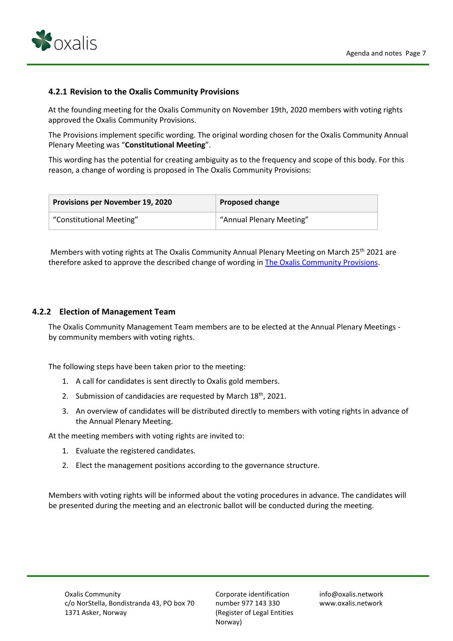

#### **4.2.1 Revision to the Oxalis Community Provisions**

At the founding meeting for the Oxalis Community on November 19th, 2020 members with voting rights approved the Oxalis Community Provisions.

The Provisions implement specific wording. The original wording chosen for the Oxalis Community Annual Plenary Meeting was "**Constitutional Meeting**".

This wording has the potential for creating ambiguity as to the frequency and scope of this body. For this reason, a change of wording is proposed in The Oxalis Community Provisions:

| <b>Provisions per November 19, 2020</b> | <b>Proposed change</b>   |
|-----------------------------------------|--------------------------|
| "Constitutional Meeting"                | "Annual Plenary Meeting" |

Members with voting rights at The Oxalis Community Annual Plenary Meeting on March 25<sup>th</sup> 2021 are therefore asked to approve the described change of wording i[n The Oxalis Community Provisions.](https://54e26da9-fbf2-465a-b113-519dff24ebfc.filesusr.com/ugd/7dc7ee_d1599dcf67294c2a94727a7b692c449c.pdf)

#### **4.2.2 Election of Management Team**

The Oxalis Community Management Team members are to be elected at the Annual Plenary Meetings by community members with voting rights.

The following steps have been taken prior to the meeting:

- 1. A call for candidates is sent directly to Oxalis gold members.
- 2. Submission of candidacies are requested by March  $18<sup>th</sup>$ , 2021.
- 3. An overview of candidates will be distributed directly to members with voting rights in advance of the Annual Plenary Meeting.

At the meeting members with voting rights are invited to:

- 1. Evaluate the registered candidates.
- 2. Elect the management positions according to the governance structure.

Members with voting rights will be informed about the voting procedures in advance. The candidates will be presented during the meeting and an electronic ballot will be conducted during the meeting.